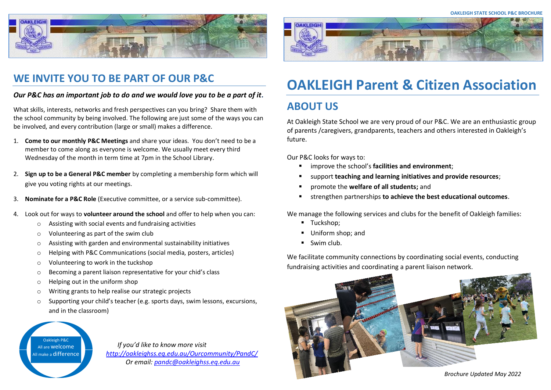



# **WE INVITE YOU TO BE PART OF OUR P&C**

### *Our P&C has an important job to do and we would love you to be a part of it.*

What skills, interests, networks and fresh perspectives can you bring? Share them with the school community by being involved. The following are just some of the ways you can be involved, and every contribution (large or small) makes a difference.

- 1. **Come to our monthly P&C Meetings** and share your ideas. You don't need to be a member to come along as everyone is welcome. We usually meet every third Wednesday of the month in term time at 7pm in the School Library.
- 2. **Sign up to be a General P&C member** by completing a membership form which will give you voting rights at our meetings.
- 3. **Nominate for a P&C Role** (Executive committee, or a service sub-committee).
- 4. Look out for ways to **volunteer around the school** and offer to help when you can:
	- o Assisting with social events and fundraising activities
	- o Volunteering as part of the swim club
	- o Assisting with garden and environmental sustainability initiatives
	- o Helping with P&C Communications (social media, posters, articles)
	- o Volunteering to work in the tuckshop
	- o Becoming a parent liaison representative for your chid's class
	- o Helping out in the uniform shop
	- o Writing grants to help realise our strategic projects
	- o Supporting your child's teacher (e.g. sports days, swim lessons, excursions, and in the classroom)

Oakleigh P&C All are welcome

All make <sup>a</sup> difference *If you'd like to know more visit <http://oakleighss.eq.edu.au/Ourcommunity/PandC/> Or email[: pandc@oakleighss.eq.edu.au](mailto:pandc@oakleighss.eq.edu.au)*

# **OAKLEIGH Parent & Citizen Association**

# **ABOUT US**

At Oakleigh State School we are very proud of our P&C. We are an enthusiastic group of parents /caregivers, grandparents, teachers and others interested in Oakleigh's future.

Our P&C looks for ways to:

- improve the school's **facilities and environment**;
- support **teaching and learning initiatives and provide resources**;
- promote the **welfare of all students;** and
- strengthen partnerships **to achieve the best educational outcomes**.

We manage the following services and clubs for the benefit of Oakleigh families:

- Tuckshop;
- Uniform shop: and
- Swim club.

We facilitate community connections by coordinating social events, conducting fundraising activities and coordinating a parent liaison network.



 *Brochure Updated May <sup>2022</sup>*